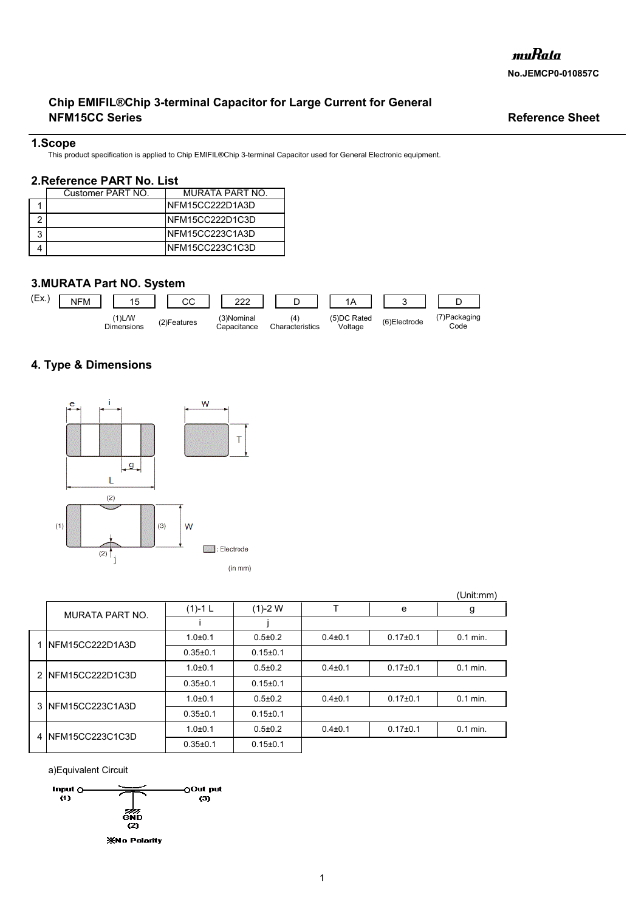# **NFM15CC Series** Reference Sheet **Chip EMIFIL®Chip 3-terminal Capacitor for Large Current for General**

## **1.Scope**

This product specification is applied to Chip EMIFIL®Chip 3-terminal Capacitor used for General Electronic equipment.

## **2.Reference PART No. List**

|  | Customer PART NO. | MURATA PART NO.  |
|--|-------------------|------------------|
|  |                   | INFM15CC222D1A3D |
|  |                   | INFM15CC222D1C3D |
|  |                   | INFM15CC223C1A3D |
|  |                   | INFM15CC223C1C3D |

# **3.MURATA Part NO. System**



# **4. Type & Dimensions**



|  |                        |                |                |               |                | (Unit:mm)  |
|--|------------------------|----------------|----------------|---------------|----------------|------------|
|  | <b>MURATA PART NO.</b> | $(1)-1$ L      | $(1)-2$ W      |               | e              | g          |
|  |                        |                |                |               |                |            |
|  | 1 INFM15CC222D1A3D     | $1.0 + 0.1$    | $0.5 \pm 0.2$  | $0.4 \pm 0.1$ | $0.17 + 0.1$   | $0.1$ min. |
|  |                        | $0.35 \pm 0.1$ | $0.15 \pm 0.1$ |               |                |            |
|  | 2 NFM15CC222D1C3D      | $1.0 + 0.1$    | $0.5 \pm 0.2$  | $0.4 \pm 0.1$ | $0.17+0.1$     | $0.1$ min. |
|  |                        | $0.35 \pm 0.1$ | $0.15 \pm 0.1$ |               |                |            |
|  | 3 NFM15CC223C1A3D      | $1.0 + 0.1$    | $0.5 \pm 0.2$  | $0.4 \pm 0.1$ | $0.17 \pm 0.1$ | $0.1$ min. |
|  |                        | $0.35 \pm 0.1$ | $0.15 \pm 0.1$ |               |                |            |
|  | 4 NFM15CC223C1C3D      | $1.0 + 0.1$    | $0.5 \pm 0.2$  | $0.4 \pm 0.1$ | $0.17 \pm 0.1$ | $0.1$ min. |
|  |                        | $0.35 \pm 0.1$ | $0.15 + 0.1$   |               |                |            |

a)Equivalent Circuit

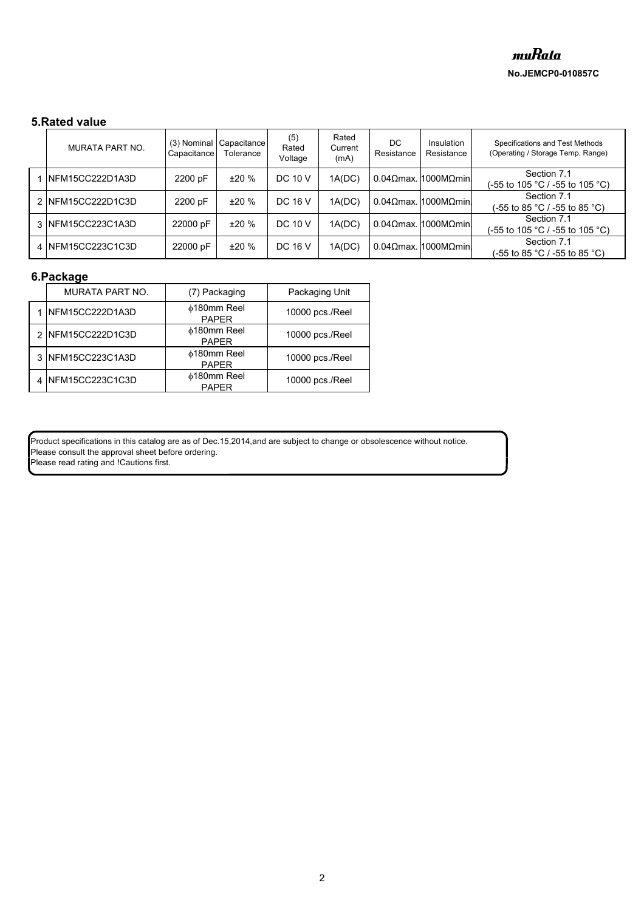# **5.Rated value**

| <b>MURATA PART NO.</b> | (3) Nominal<br>Capacitance | Capacitance<br>Tolerance | (5)<br>Rated<br>Voltage | Rated<br>Current<br>(mA) | DC.<br>Resistance | Insulation<br>Resistance | Specifications and Test Methods<br>(Operating / Storage Temp. Range) |
|------------------------|----------------------------|--------------------------|-------------------------|--------------------------|-------------------|--------------------------|----------------------------------------------------------------------|
| 1 INFM15CC222D1A3D     | 2200 pF                    | ±20%                     | DC 10 V                 | 1A(DC)                   |                   | $0.04$ Ωmax. 1000MΩmin.  | Section 7.1<br>(-55 to 105 °C / -55 to 105 °C).                      |
| 2 NFM15CC222D1C3D      | 2200 pF                    | ±20%                     | DC 16 V                 | 1A(DC)                   |                   | 0.04Ωmax. $1000MΩmin$    | Section 7.1<br>(-55 to 85 °C / -55 to 85 °C)                         |
| 3 NFM15CC223C1A3D      | 22000 pF                   | ±20%                     | <b>DC 10 V</b>          | 1A(DC)                   |                   | 0.04Ωmax. $1000MΩmin$    | Section 7.1<br>(-55 to 105 °C / -55 to 105 °C).                      |
| 4 INFM15CC223C1C3D     | 22000 pF                   | ±20%                     | DC 16 V                 | 1A(DC)                   |                   | 0.04Ωmax. 1000MΩmin.     | Section 7.1<br>(-55 to 85 °C / -55 to 85 °C)                         |

# **6.Package**

| <b>MURATA PART NO.</b> | (7) Packaging                      | Packaging Unit  |
|------------------------|------------------------------------|-----------------|
| NFM15CC222D1A3D        | <b>¢180mm Reel</b><br><b>PAPER</b> | 10000 pcs./Reel |
| 2 NFM15CC222D1C3D      | <b>¢180mm Reel</b><br><b>PAPER</b> | 10000 pcs./Reel |
| NFM15CC223C1A3D        | ∲180mm Reel<br><b>PAPER</b>        | 10000 pcs./Reel |
| NFM15CC223C1C3D        | ∲180mm Reel<br><b>PAPFR</b>        | 10000 pcs./Reel |

Product specifications in this catalog are as of Dec.15,2014,and are subject to change or obsolescence without notice. Please consult the approval sheet before ordering. Please read rating and !Cautions first.

2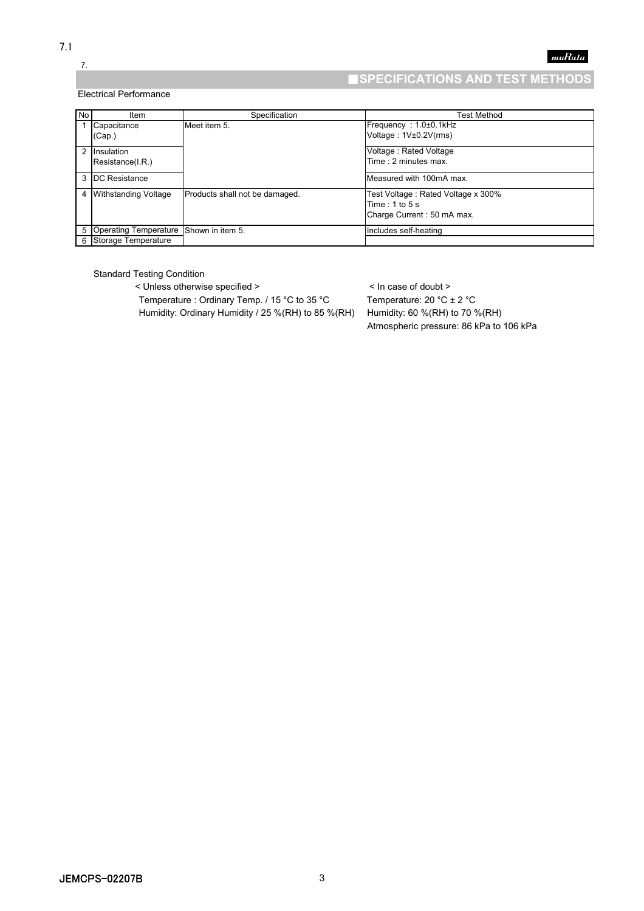# 7.

### Electrical Performance

# ■**SPECIFICATIONS AND TEST METHODS**

muRata

| No | Item                                     | Specification                  | Test Method                                                                            |
|----|------------------------------------------|--------------------------------|----------------------------------------------------------------------------------------|
|    | Capacitance<br>(Cap.)                    | Meet item 5.                   | Frequency: 1.0±0.1kHz<br>Voltage: 1V±0.2V(rms)                                         |
|    | 2 Insulation<br>Resistance(I.R.)         |                                | Voltage: Rated Voltage<br>Time: 2 minutes max.                                         |
|    | 3 <b>DC</b> Resistance                   |                                | Measured with 100mA max.                                                               |
|    | 4 Withstanding Voltage                   | Products shall not be damaged. | Test Voltage: Rated Voltage x 300%<br>Time: $1$ to $5$ s<br>Charge Current: 50 mA max. |
|    | 5 Operating Temperature Shown in item 5. |                                | Includes self-heating                                                                  |
|    | 6 Storage Temperature                    |                                |                                                                                        |

Standard Testing Condition

< Unless otherwise specified > < In case of doubt > Temperature : Ordinary Temp. / 15 °C to 35 °C Temperature: 20 °C ± 2 °C

Humidity: Ordinary Humidity / 25 %(RH) to 85 %(RH) Humidity: 60 %(RH) to 70 %(RH) Atmospheric pressure: 86 kPa to 106 kPa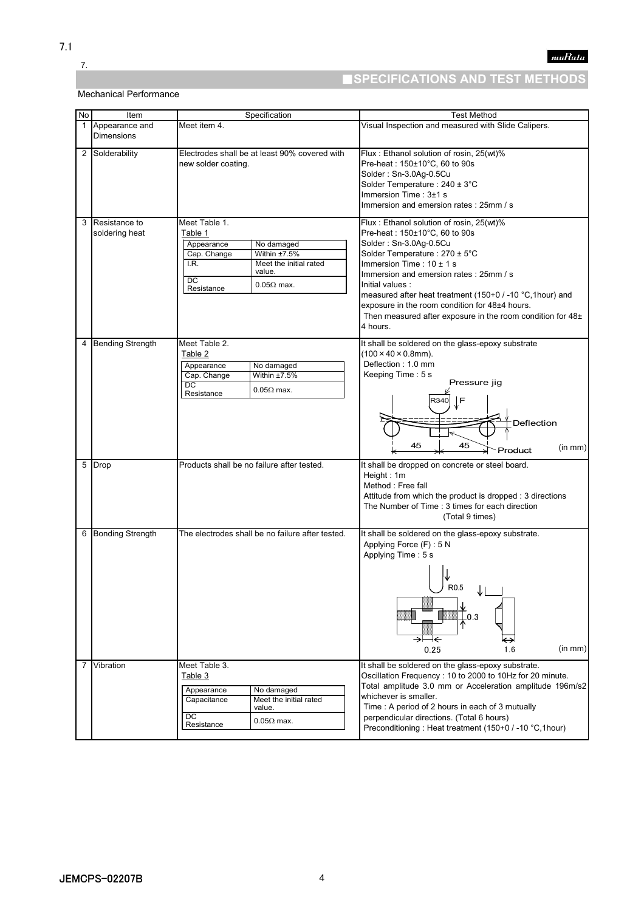7.

# ■**SPECIFICATIONS AND TEST METHODS**

## Mechanical Performance

| No           | Item                                | Specification                                                                                                                                                                   | <b>Test Method</b>                                                                                                                                                                                                                                                                                                                                                                                                                      |  |  |
|--------------|-------------------------------------|---------------------------------------------------------------------------------------------------------------------------------------------------------------------------------|-----------------------------------------------------------------------------------------------------------------------------------------------------------------------------------------------------------------------------------------------------------------------------------------------------------------------------------------------------------------------------------------------------------------------------------------|--|--|
| $\mathbf{1}$ | Appearance and<br><b>Dimensions</b> | Meet item 4.                                                                                                                                                                    | Visual Inspection and measured with Slide Calipers.                                                                                                                                                                                                                                                                                                                                                                                     |  |  |
| 2            | Solderability                       | Electrodes shall be at least 90% covered with<br>new solder coating.                                                                                                            | Flux: Ethanol solution of rosin, 25(wt)%<br>Pre-heat: 150±10°C, 60 to 90s<br>Solder: Sn-3.0Ag-0.5Cu<br>Solder Temperature: 240 ± 3°C<br>Immersion Time: 3±1 s<br>Immersion and emersion rates: 25mm / s                                                                                                                                                                                                                                 |  |  |
| 3            | Resistance to<br>soldering heat     | Meet Table 1.<br>Table 1<br>Appearance<br>No damaged<br>Cap. Change<br>Within ±7.5%<br>I.R.<br>Meet the initial rated<br>value.<br><b>DC</b><br>$0.05\Omega$ max.<br>Resistance | Flux: Ethanol solution of rosin, 25(wt)%<br>Pre-heat: $150\pm10^{\circ}$ C, 60 to 90s<br>Solder: Sn-3.0Ag-0.5Cu<br>Solder Temperature: 270 ± 5°C<br>Immersion Time: $10 \pm 1$ s<br>Immersion and emersion rates: 25mm / s<br>Initial values :<br>measured after heat treatment (150+0 / -10 °C, 1hour) and<br>exposure in the room condition for 48±4 hours.<br>Then measured after exposure in the room condition for 48±<br>4 hours. |  |  |
| 4            | <b>Bending Strength</b>             | Meet Table 2.<br>Table 2<br>Appearance<br>No damaged<br>Cap. Change<br>Within ±7.5%<br>DC<br>$0.05\Omega$ max.<br>Resistance                                                    | It shall be soldered on the glass-epoxy substrate<br>$(100 \times 40 \times 0.8$ mm).<br>Deflection: 1.0 mm<br>Keeping Time: 5 s<br>Pressure jig<br>F<br>Deflection<br>45<br>45<br>(in mm)<br>Product                                                                                                                                                                                                                                   |  |  |
| 5            | Drop                                | Products shall be no failure after tested.                                                                                                                                      | It shall be dropped on concrete or steel board.<br>Height: 1m<br>Method: Free fall<br>Attitude from which the product is dropped : 3 directions<br>The Number of Time: 3 times for each direction<br>(Total 9 times)                                                                                                                                                                                                                    |  |  |
| 6            | <b>Bonding Strength</b>             | The electrodes shall be no failure after tested.                                                                                                                                | It shall be soldered on the glass-epoxy substrate.<br>Applying Force (F): 5 N<br>Applying Time: 5 s<br>R <sub>0.5</sub><br>$-0.3$<br>→⊦<br>⊦←<br>(in mm)<br>1.6<br>0.25                                                                                                                                                                                                                                                                 |  |  |
| 7            | Vibration                           | Meet Table 3.<br>Table 3<br>Appearance<br>No damaged<br>Meet the initial rated<br>Capacitance<br>value.<br>DC<br>$0.05\Omega$ max.<br>Resistance                                | It shall be soldered on the glass-epoxy substrate.<br>Oscillation Frequency : 10 to 2000 to 10Hz for 20 minute.<br>Total amplitude 3.0 mm or Acceleration amplitude 196m/s2<br>whichever is smaller.<br>Time: A period of 2 hours in each of 3 mutually<br>perpendicular directions. (Total 6 hours)<br>Preconditioning: Heat treatment (150+0 / -10 °C, 1hour)                                                                         |  |  |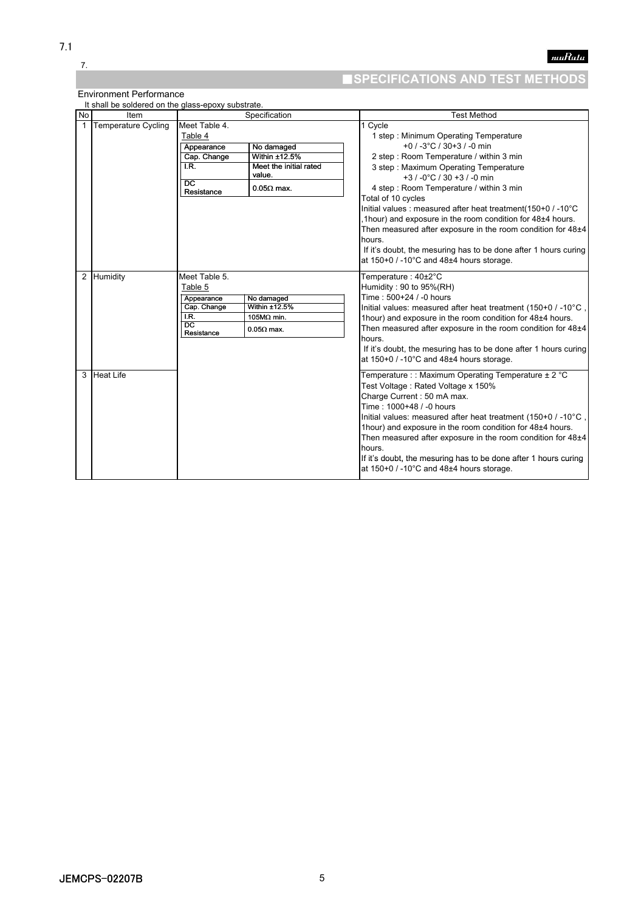7.

# ■**SPECIFICATIONS AND TEST METHODS**

Environment Performance

|    | It shall be soldered on the glass-epoxy substrate. |                                                                                                |                                                                                      |                                                                                                                                                                                                                                                                                                                                                                                                                                                                                                                                                                                                          |
|----|----------------------------------------------------|------------------------------------------------------------------------------------------------|--------------------------------------------------------------------------------------|----------------------------------------------------------------------------------------------------------------------------------------------------------------------------------------------------------------------------------------------------------------------------------------------------------------------------------------------------------------------------------------------------------------------------------------------------------------------------------------------------------------------------------------------------------------------------------------------------------|
| No | Item                                               |                                                                                                | Specification                                                                        | <b>Test Method</b>                                                                                                                                                                                                                                                                                                                                                                                                                                                                                                                                                                                       |
| 1  | <b>Temperature Cycling</b>                         | Meet Table 4.<br>Table 4<br>Appearance<br>Cap. Change<br>LR.<br>$\overline{DC}$<br>Resistance  | No damaged<br>Within ±12.5%<br>Meet the initial rated<br>value.<br>$0.05\Omega$ max. | 1 Cycle<br>1 step: Minimum Operating Temperature<br>+0 / -3 $^{\circ}$ C / 30+3 / -0 min<br>2 step: Room Temperature / within 3 min<br>3 step: Maximum Operating Temperature<br>$+3$ / -0°C / 30 +3 / -0 min<br>4 step: Room Temperature / within 3 min<br>Total of 10 cycles<br>Initial values : measured after heat treatment (150+0 / -10°C<br>,1hour) and exposure in the room condition for 48±4 hours.<br>Then measured after exposure in the room condition for 48±4<br>hours.<br>If it's doubt, the mesuring has to be done after 1 hours curing<br>at $150+0$ / -10°C and $48±4$ hours storage. |
| 2  | Humidity                                           | Meet Table 5.<br>Table 5<br>Appearance<br>Cap. Change<br>I.R.<br>$\overline{DC}$<br>Resistance | No damaged<br>Within $±12.5%$<br>105MΩ min.<br>$0.05\Omega$ max.                     | Temperature: 40±2°C<br>Humidity: 90 to 95%(RH)<br>Time: 500+24 / -0 hours<br>Initial values: measured after heat treatment (150+0 / -10°C<br>1hour) and exposure in the room condition for 48±4 hours.<br>Then measured after exposure in the room condition for 48±4<br>hours.<br>If it's doubt, the mesuring has to be done after 1 hours curing<br>at $150+0$ / -10°C and $48±4$ hours storage.                                                                                                                                                                                                       |
| 3  | <b>Heat Life</b>                                   |                                                                                                |                                                                                      | Temperature : : Maximum Operating Temperature ± 2 °C<br>Test Voltage: Rated Voltage x 150%<br>Charge Current: 50 mA max.<br>Time: 1000+48 / -0 hours<br>Initial values: measured after heat treatment (150+0 / -10°C<br>1hour) and exposure in the room condition for 48±4 hours.<br>Then measured after exposure in the room condition for 48±4<br>hours.<br>If it's doubt, the mesuring has to be done after 1 hours curing<br>at $150+0$ / -10°C and $48±4$ hours storage.                                                                                                                            |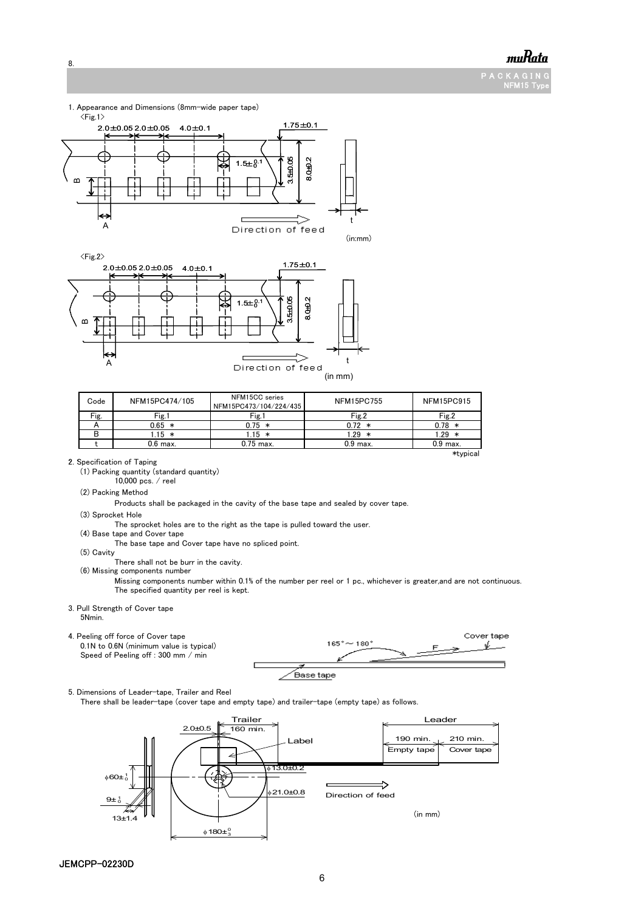

P A C K A G I N NFM15 Type





|  |  | . |         |  |
|--|--|---|---------|--|
|  |  |   | (in mm) |  |

| Code | NFM15PC474/105 | NFM15CC series<br>NFM15PC473/104/224/435 | <b>NFM15PC755</b> | <b>NFM15PC915</b> |
|------|----------------|------------------------------------------|-------------------|-------------------|
| Fig. | Fig.1          | Fig.1                                    | Fig.2             | Fig.2             |
|      | $0.65 *$       | $0.75*$                                  | $0.72 *$          | $0.78 *$          |
| в    | 115 *          | $15 *$                                   | $29 *$            | $.29*$            |
|      | $0.6$ max.     | $0.75$ max.                              | $0.9$ max.        | $0.9$ max.        |
|      |                |                                          |                   | *typical          |

2. Specification of Taping

8.

(1) Packing quantity (standard quantity)

10,000 pcs. / reel

(2) Packing Method

Products shall be packaged in the cavity of the base tape and sealed by cover tape.

(3) Sprocket Hole

The sprocket holes are to the right as the tape is pulled toward the user.

(4) Base tape and Cover tape

The base tape and Cover tape have no spliced point.

(5) Cavity

.<br>There shall not be burr in the cavity.

(6) Missing components number

Missing components number within 0.1% of the number per reel or 1 pc., whichever is greater,and are not continuous. The specified quantity per reel is kept.

#### 3. Pull Strength of Cover tape 5Nmin.



5. Dimensions of Leader-tape, Trailer and Reel

There shall be leader-tape (cover tape and empty tape) and trailer-tape (empty tape) as follows.

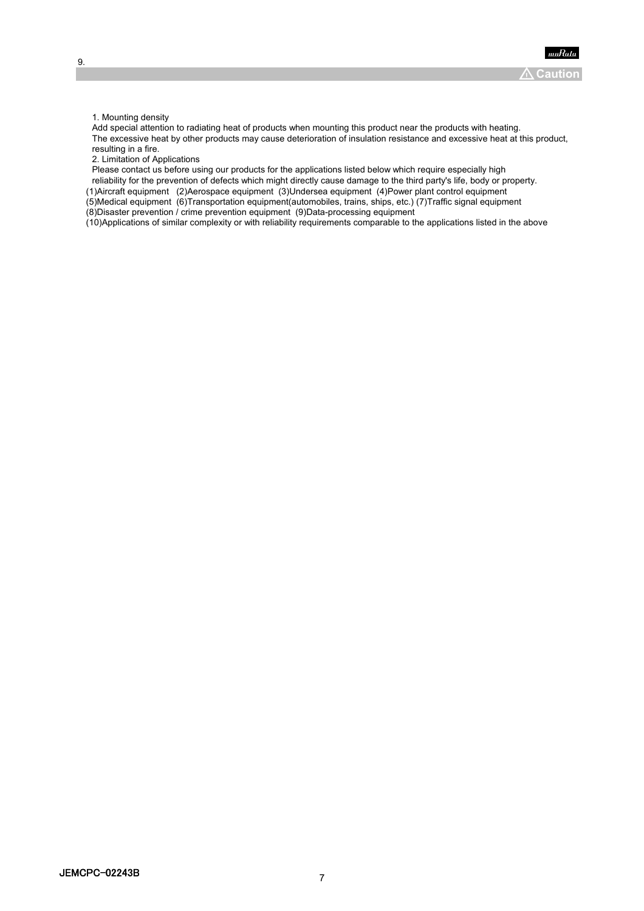1. Mounting density

Add special attention to radiating heat of products when mounting this product near the products with heating. The excessive heat by other products may cause deterioration of insulation resistance and excessive heat at this product, resulting in a fire.

2. Limitation of Applications

Please contact us before using our products for the applications listed below which require especially high

reliability for the prevention of defects which might directly cause damage to the third party's life, body or property.

(1)Aircraft equipment (2)Aerospace equipment (3)Undersea equipment (4)Power plant control equipment (5)Medical equipment (6)Transportation equipment(automobiles, trains, ships, etc.) (7)Traffic signal equipment (8)Disaster prevention / crime prevention equipment (9)Data-processing equipment

(10)Applications of similar complexity or with reliability requirements comparable to the applications listed in the above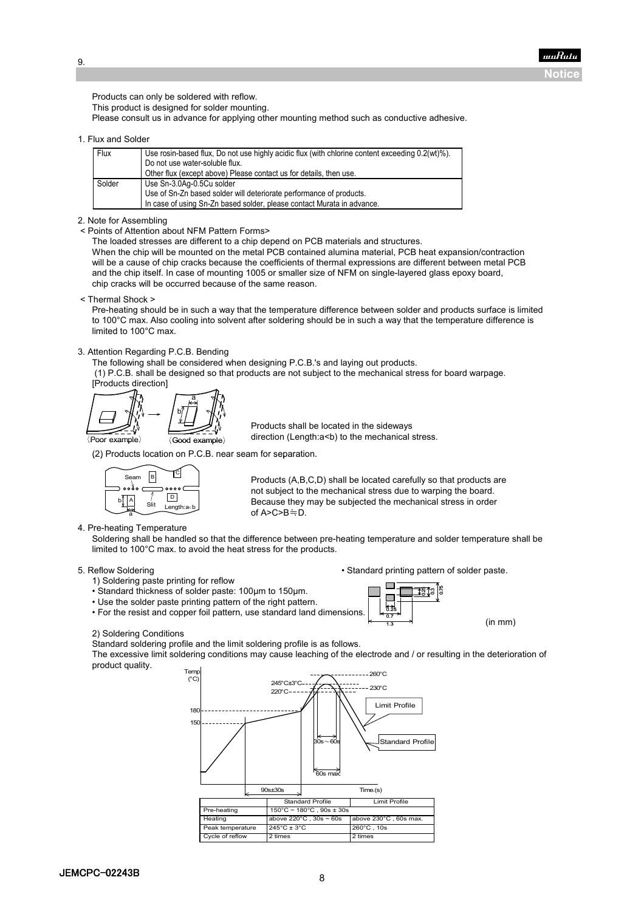muRata **Notice**

Products can only be soldered with reflow. This product is designed for solder mounting. Please consult us in advance for applying other mounting method such as conductive adhesive.

#### 1. Flux and Solder

9.

| Flux   | Use rosin-based flux, Do not use highly acidic flux (with chlorine content exceeding 0.2(wt)%).<br>Do not use water-soluble flux. |  |  |  |
|--------|-----------------------------------------------------------------------------------------------------------------------------------|--|--|--|
|        | Other flux (except above) Please contact us for details, then use.                                                                |  |  |  |
| Solder | Use Sn-3.0Aq-0.5Cu solder                                                                                                         |  |  |  |
|        | Use of Sn-Zn based solder will deteriorate performance of products.                                                               |  |  |  |
|        | In case of using Sn-Zn based solder, please contact Murata in advance.                                                            |  |  |  |

#### 2. Note for Assembling

< Points of Attention about NFM Pattern Forms>

The loaded stresses are different to a chip depend on PCB materials and structures.

When the chip will be mounted on the metal PCB contained alumina material, PCB heat expansion/contraction will be a cause of chip cracks because the coefficients of thermal expressions are different between metal PCB and the chip itself. In case of mounting 1005 or smaller size of NFM on single-layered glass epoxy board, chip cracks will be occurred because of the same reason.

#### < Thermal Shock >

Pre-heating should be in such a way that the temperature difference between solder and products surface is limited to 100°C max. Also cooling into solvent after soldering should be in such a way that the temperature difference is limited to 100°C max.

#### 3. Attention Regarding P.C.B. Bending

The following shall be considered when designing P.C.B.'s and laying out products.

(1) P.C.B. shall be designed so that products are not subject to the mechanical stress for board warpage.



Products shall be located in the sideways direction (Length:a<br/>>b) to the mechanical stress.

(2) Products location on P.C.B. near seam for separation.



Products (A,B,C,D) shall be located carefully so that products are not subject to the mechanical stress due to warping the board. Because they may be subjected the mechanical stress in order of A>C>B≒D.

#### 4. Pre-heating Temperature

Soldering shall be handled so that the difference between pre-heating temperature and solder temperature shall be limited to 100°C max. to avoid the heat stress for the products.

- 1) Soldering paste printing for reflow
- Standard thickness of solder paste: 100µm to 150µm.
- Use the solder paste printing pattern of the right pattern.
- For the resist and copper foil pattern, use standard land dimensions.

### 5. Reflow Soldering **• Standard printing pattern of solder paste.**

(in mm)



#### 2) Soldering Conditions

Standard soldering profile and the limit soldering profile is as follows.

The excessive limit soldering conditions may cause leaching of the electrode and / or resulting in the deterioration of product quality.

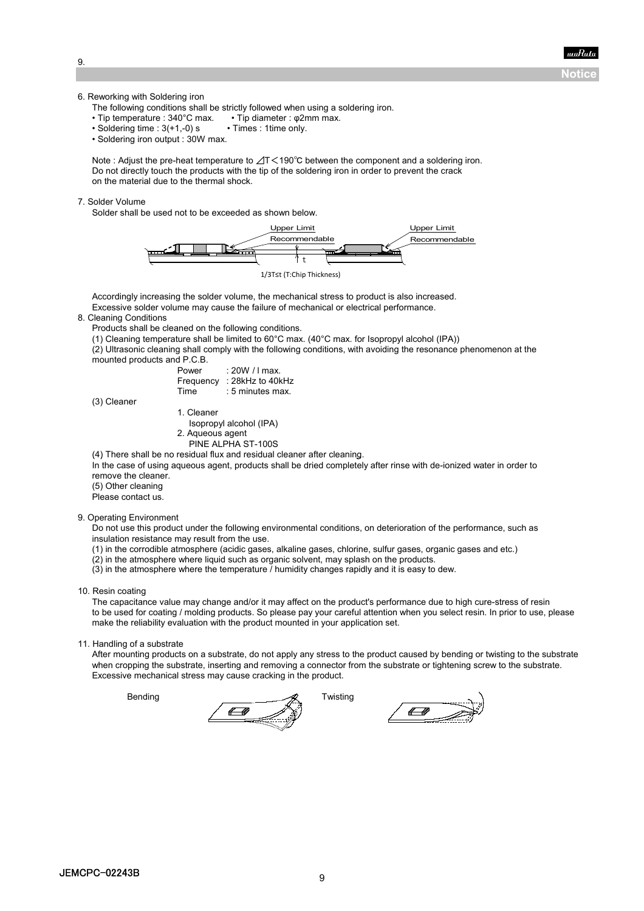**Notice**

9.

6. Reworking with Soldering iron

The following conditions shall be strictly followed when using a soldering iron.

- Tip temperature : 340°C max. Tip diameter : φ2mm max.<br>• Soldering time : 3(+1.-0) s Times : 1time only.
- $\cdot$  Soldering time : 3(+1,-0) s
- Soldering iron output : 30W max.

Note : Adjust the pre-heat temperature to ⊿T<190℃ between the component and a soldering iron. Do not directly touch the products with the tip of the soldering iron in order to prevent the crack on the material due to the thermal shock.

#### 7. Solder Volume

Solder shall be used not to be exceeded as shown below.





Accordingly increasing the solder volume, the mechanical stress to product is also increased. Excessive solder volume may cause the failure of mechanical or electrical performance.

#### 8. Cleaning Conditions

Products shall be cleaned on the following conditions.

- (1) Cleaning temperature shall be limited to 60°C max. (40°C max. for Isopropyl alcohol (IPA))
- (2) Ultrasonic cleaning shall comply with the following conditions, with avoiding the resonance phenomenon at the mounted products and P.C.B.

| 00 U.O GIIU I . U.L |  |  |                  |  |
|---------------------|--|--|------------------|--|
|                     |  |  | $D$ <sup>a</sup> |  |

| : ZUW / Friax.      |
|---------------------|
| $: 28$ kHz to 40kHz |
| : 5 minutes max.    |
|                     |

 $P(X|Y|Y|Y)$ 

(3) Cleaner

- 1. Cleaner Isopropyl alcohol (IPA)
- 2. Aqueous agent
- PINE ALPHA ST-100S

(4) There shall be no residual flux and residual cleaner after cleaning. (4) There shall be no residual flux and residual cleaner after cleaning.

In the case of using aqueous agent, products shall be dried completely after rinse with de-ionized water in order to remove the cleaner.

(5) Other cleaning

Please contact us.

#### 9. Operating Environment

Do not use this product under the following environmental conditions, on deterioration of the performance, such as insulation resistance may result from the use.

- (1) in the corrodible atmosphere (acidic gases, alkaline gases, chlorine, sulfur gases, organic gases and etc.)
- (2) in the atmosphere where liquid such as organic solvent, may splash on the products.
- (3) in the atmosphere where the temperature / humidity changes rapidly and it is easy to dew.
- 10. Resin coating

The capacitance value may change and/or it may affect on the product's performance due to high cure-stress of resin to be used for coating / molding products. So please pay your careful attention when you select resin. In prior to use, please make the reliability evaluation with the product mounted in your application set.

11. Handling of a substrate

After mounting products on a substrate, do not apply any stress to the product caused by bending or twisting to the substrate when cropping the substrate, inserting and removing a connector from the substrate or tightening screw to the substrate. Excessive mechanical stress may cause cracking in the product.

Bending Bending **Twisting** 

 $\leftarrow$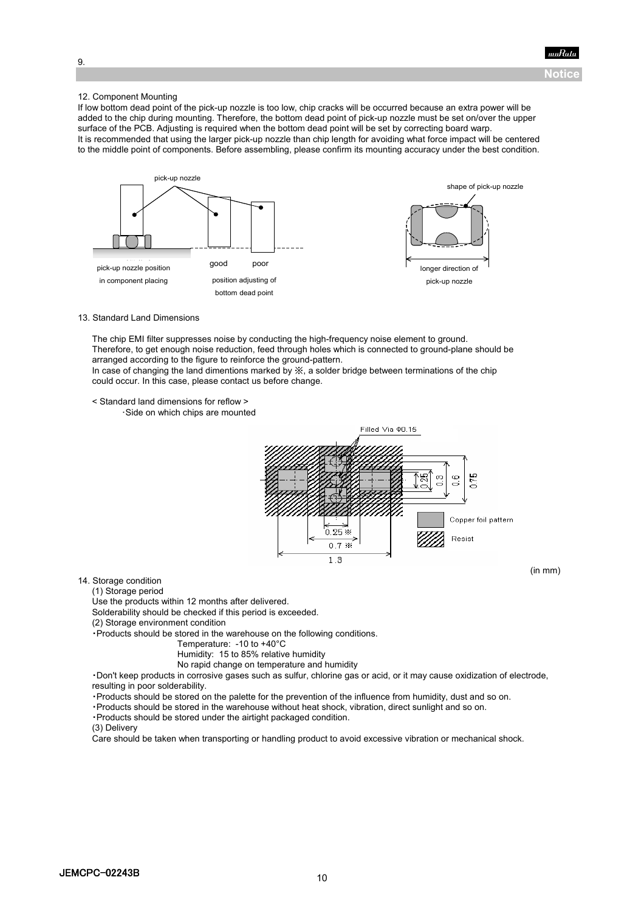

(in mm)

9.

#### 12. Component Mounting

If low bottom dead point of the pick-up nozzle is too low, chip cracks will be occurred because an extra power will be added to the chip during mounting. Therefore, the bottom dead point of pick-up nozzle must be set on/over the upper surface of the PCB. Adjusting is required when the bottom dead point will be set by correcting board warp. It is recommended that using the larger pick-up nozzle than chip length for avoiding what force impact will be centered to the middle point of components. Before assembling, please confirm its mounting accuracy under the best condition.



#### 13. Standard Land Dimensions

The chip EMI filter suppresses noise by conducting the high-frequency noise element to ground. Therefore, to get enough noise reduction, feed through holes which is connected to ground-plane should be arranged according to the figure to reinforce the ground-pattern. In case of changing the land dimentions marked by  $\frac{1}{2}$ , a solder bridge between terminations of the chip

could occur. In this case, please contact us before change.

< Standard land dimensions for reflow >

・Side on which chips are mounted



14. Storage condition

(1) Storage period

Use the products within 12 months after delivered.

Solderability should be checked if this period is exceeded.

(2) Storage environment condition

・Products should be stored in the warehouse on the following conditions.

Temperature: -10 to +40°C

Humidity: 15 to 85% relative humidity

No rapid change on temperature and humidity

・Don't keep products in corrosive gases such as sulfur, chlorine gas or acid, or it may cause oxidization of electrode, resulting in poor solderability.

・Products should be stored on the palette for the prevention of the influence from humidity, dust and so on.

・Products should be stored in the warehouse without heat shock, vibration, direct sunlight and so on.

・Products should be stored under the airtight packaged condition.

(3) Delivery

Care should be taken when transporting or handling product to avoid excessive vibration or mechanical shock.